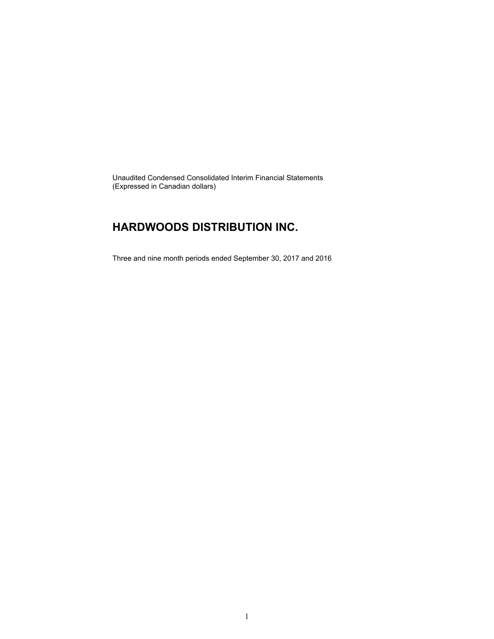Unaudited Condensed Consolidated Interim Financial Statements (Expressed in Canadian dollars)

### **HARDWOODS DISTRIBUTION INC.**

Three and nine month periods ended September 30, 2017 and 2016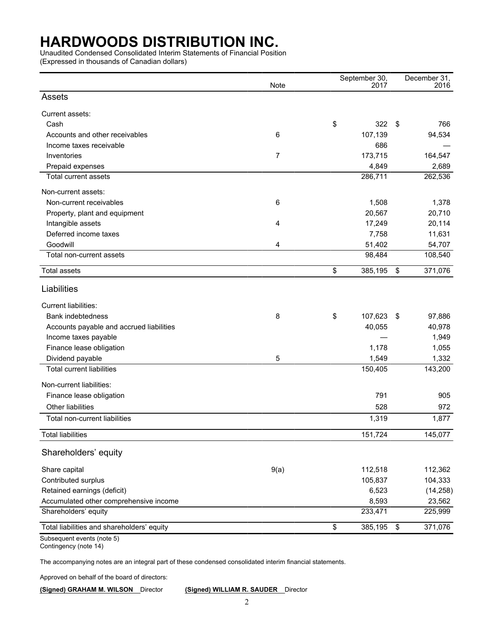Unaudited Condensed Consolidated Interim Statements of Financial Position

(Expressed in thousands of Canadian dollars)

|                                            | Note           | September 30,<br>2017 |                           | December 31,<br>2016 |
|--------------------------------------------|----------------|-----------------------|---------------------------|----------------------|
| Assets                                     |                |                       |                           |                      |
| Current assets:                            |                |                       |                           |                      |
| Cash                                       |                | \$<br>322             | \$                        | 766                  |
| Accounts and other receivables             | 6              | 107,139               |                           | 94,534               |
| Income taxes receivable                    |                | 686                   |                           |                      |
| Inventories                                | $\overline{7}$ | 173,715               |                           | 164,547              |
| Prepaid expenses                           |                | 4,849                 |                           | 2,689                |
| Total current assets                       |                | 286,711               |                           | 262,536              |
| Non-current assets:                        |                |                       |                           |                      |
| Non-current receivables                    | 6              | 1,508                 |                           | 1,378                |
| Property, plant and equipment              |                | 20,567                |                           | 20,710               |
| Intangible assets                          | 4              | 17,249                |                           | 20,114               |
| Deferred income taxes                      |                | 7,758                 |                           | 11,631               |
| Goodwill                                   | 4              | 51,402                |                           | 54,707               |
| Total non-current assets                   |                | 98,484                |                           | 108,540              |
| <b>Total assets</b>                        |                | \$<br>385,195         | \$                        | 371,076              |
| Liabilities                                |                |                       |                           |                      |
| Current liabilities:                       |                |                       |                           |                      |
| Bank indebtedness                          | 8              | \$<br>107,623         | -\$                       | 97,886               |
| Accounts payable and accrued liabilities   |                | 40,055                |                           | 40,978               |
| Income taxes payable                       |                |                       |                           | 1,949                |
| Finance lease obligation                   |                | 1,178                 |                           | 1,055                |
| Dividend payable                           | 5              | 1,549                 |                           | 1,332                |
| <b>Total current liabilities</b>           |                | 150,405               |                           | 143,200              |
| Non-current liabilities:                   |                |                       |                           |                      |
| Finance lease obligation                   |                | 791                   |                           | 905                  |
| Other liabilities                          |                | 528                   |                           | 972                  |
| Total non-current liabilities              |                | 1,319                 |                           | 1,877                |
| <b>Total liabilities</b>                   |                | 151,724               |                           | 145,077              |
| Shareholders' equity                       |                |                       |                           |                      |
| Share capital                              | 9(a)           | 112,518               |                           | 112,362              |
| Contributed surplus                        |                | 105,837               |                           | 104,333              |
| Retained earnings (deficit)                |                | 6,523                 |                           | (14, 258)            |
| Accumulated other comprehensive income     |                | 8,593                 |                           | 23,562               |
| Shareholders' equity                       |                | 233,471               |                           | 225,999              |
| Total liabilities and shareholders' equity |                | \$<br>385,195         | $\boldsymbol{\mathsf{S}}$ | 371,076              |
| Subsequent events (note 5)                 |                |                       |                           |                      |

Contingency (note 14)

The accompanying notes are an integral part of these condensed consolidated interim financial statements.

Approved on behalf of the board of directors:

**(Signed) GRAHAM M. WILSON** Director **(Signed) WILLIAM R. SAUDER** Director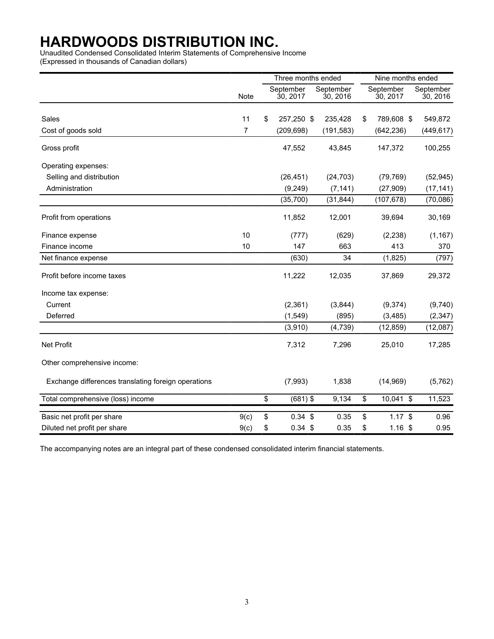Unaudited Condensed Consolidated Interim Statements of Comprehensive Income

(Expressed in thousands of Canadian dollars)

|                                                     |      | Three months ended |                       |                       | Nine months ended     |                       |  |
|-----------------------------------------------------|------|--------------------|-----------------------|-----------------------|-----------------------|-----------------------|--|
|                                                     | Note |                    | September<br>30, 2017 | September<br>30, 2016 | September<br>30, 2017 | September<br>30, 2016 |  |
| Sales                                               | 11   | \$                 | 257,250 \$            | 235,428               | \$<br>789,608 \$      | 549,872               |  |
| Cost of goods sold                                  | 7    |                    | (209, 698)            | (191, 583)            | (642, 236)            | (449, 617)            |  |
| Gross profit                                        |      |                    | 47,552                | 43,845                | 147,372               | 100,255               |  |
| Operating expenses:                                 |      |                    |                       |                       |                       |                       |  |
| Selling and distribution                            |      |                    | (26, 451)             | (24, 703)             | (79, 769)             | (52, 945)             |  |
| Administration                                      |      |                    | (9, 249)              | (7, 141)              | (27, 909)             | (17, 141)             |  |
|                                                     |      |                    | (35,700)              | (31, 844)             | (107, 678)            | (70,086)              |  |
| Profit from operations                              |      |                    | 11,852                | 12,001                | 39,694                | 30,169                |  |
| Finance expense                                     | 10   |                    | (777)                 | (629)                 | (2, 238)              | (1, 167)              |  |
| Finance income                                      | 10   |                    | 147                   | 663                   | 413                   | 370                   |  |
| Net finance expense                                 |      |                    | (630)                 | 34                    | (1,825)               | (797)                 |  |
| Profit before income taxes                          |      |                    | 11,222                | 12,035                | 37,869                | 29,372                |  |
| Income tax expense:                                 |      |                    |                       |                       |                       |                       |  |
| Current                                             |      |                    | (2,361)               | (3,844)               | (9,374)               | (9,740)               |  |
| Deferred                                            |      |                    | (1, 549)              | (895)                 | (3, 485)              | (2, 347)              |  |
|                                                     |      |                    | (3,910)               | (4, 739)              | (12, 859)             | (12,087)              |  |
| Net Profit                                          |      |                    | 7,312                 | 7,296                 | 25,010                | 17,285                |  |
| Other comprehensive income:                         |      |                    |                       |                       |                       |                       |  |
| Exchange differences translating foreign operations |      |                    | (7,993)               | 1,838                 | (14,969)              | (5, 762)              |  |
| Total comprehensive (loss) income                   |      | \$                 | $(681)$ \$            | 9,134                 | \$<br>10,041 \$       | 11,523                |  |
| Basic net profit per share                          | 9(c) | \$                 | $0.34$ \$             | 0.35                  | \$<br>$1.17$ \$       | 0.96                  |  |
| Diluted net profit per share                        | 9(c) | \$                 | $0.34$ \$             | 0.35                  | \$<br>$1.16$ \$       | 0.95                  |  |

The accompanying notes are an integral part of these condensed consolidated interim financial statements.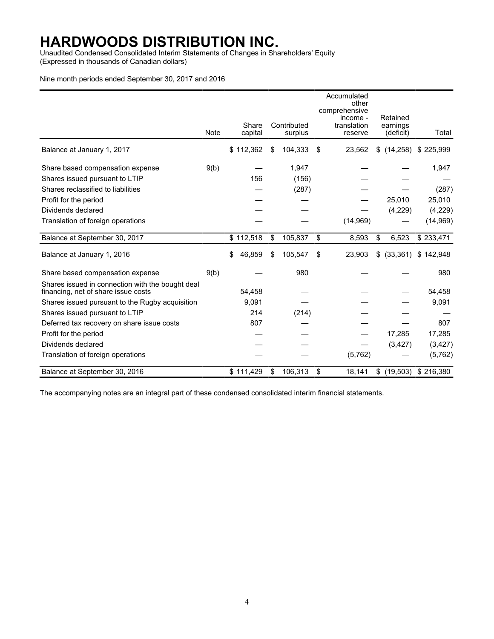Unaudited Condensed Consolidated Interim Statements of Changes in Shareholders' Equity (Expressed in thousands of Canadian dollars)

#### Nine month periods ended September 30, 2017 and 2016

|                                                                                         |             |                  |                        | Accumulated<br>other<br>comprehensive<br>income - | Retained                 |                       |
|-----------------------------------------------------------------------------------------|-------------|------------------|------------------------|---------------------------------------------------|--------------------------|-----------------------|
|                                                                                         | <b>Note</b> | Share<br>capital | Contributed<br>surplus | translation<br>reserve                            | earnings<br>(deficit)    | Total                 |
| Balance at January 1, 2017                                                              |             | \$112,362        | \$<br>104,333          | \$<br>23,562                                      | \$                       | $(14,258)$ \$ 225,999 |
| Share based compensation expense                                                        | 9(b)        |                  | 1,947                  |                                                   |                          | 1,947                 |
| Shares issued pursuant to LTIP                                                          |             | 156              | (156)                  |                                                   |                          |                       |
| Shares reclassified to liabilities                                                      |             |                  | (287)                  |                                                   |                          | (287)                 |
| Profit for the period                                                                   |             |                  |                        |                                                   | 25,010                   | 25,010                |
| Dividends declared                                                                      |             |                  |                        |                                                   | (4,229)                  | (4,229)               |
| Translation of foreign operations                                                       |             |                  |                        | (14, 969)                                         |                          | (14, 969)             |
| Balance at September 30, 2017                                                           |             | \$112,518        | \$<br>105,837          | \$<br>8,593                                       | \$<br>6,523              | \$233,471             |
| Balance at January 1, 2016                                                              |             | 46,859<br>\$     | \$<br>105,547          | \$<br>23,903                                      | (33, 361)<br>\$          | \$142,948             |
| Share based compensation expense                                                        | 9(b)        |                  | 980                    |                                                   |                          | 980                   |
| Shares issued in connection with the bought deal<br>financing, net of share issue costs |             | 54,458           |                        |                                                   |                          | 54,458                |
| Shares issued pursuant to the Rugby acquisition                                         |             | 9,091            |                        |                                                   |                          | 9,091                 |
| Shares issued pursuant to LTIP                                                          |             | 214              | (214)                  |                                                   |                          |                       |
| Deferred tax recovery on share issue costs                                              |             | 807              |                        |                                                   |                          | 807                   |
| Profit for the period                                                                   |             |                  |                        |                                                   | 17,285                   | 17,285                |
| Dividends declared                                                                      |             |                  |                        |                                                   | (3, 427)                 | (3, 427)              |
| Translation of foreign operations                                                       |             |                  |                        | (5,762)                                           |                          | (5, 762)              |
| Balance at September 30, 2016                                                           |             | \$111,429        | \$<br>106,313          | \$<br>18,141                                      | $$$ (19,503) $$$ 216,380 |                       |

The accompanying notes are an integral part of these condensed consolidated interim financial statements.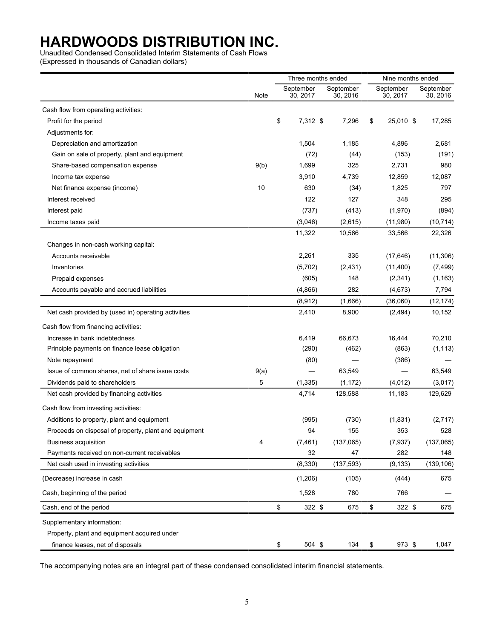Unaudited Condensed Consolidated Interim Statements of Cash Flows

(Expressed in thousands of Canadian dollars)

|                                                       |      | Three months ended |                       |                       | Nine months ended     |                       |  |  |
|-------------------------------------------------------|------|--------------------|-----------------------|-----------------------|-----------------------|-----------------------|--|--|
|                                                       | Note |                    | September<br>30, 2017 | September<br>30, 2016 | September<br>30, 2017 | September<br>30, 2016 |  |  |
| Cash flow from operating activities:                  |      |                    |                       |                       |                       |                       |  |  |
| Profit for the period                                 |      | \$                 | 7,312 \$              | 7,296                 | \$<br>25,010 \$       | 17,285                |  |  |
| Adjustments for:                                      |      |                    |                       |                       |                       |                       |  |  |
| Depreciation and amortization                         |      |                    | 1,504                 | 1,185                 | 4,896                 | 2,681                 |  |  |
| Gain on sale of property, plant and equipment         |      |                    | (72)                  | (44)                  | (153)                 | (191)                 |  |  |
| Share-based compensation expense                      | 9(b) |                    | 1,699                 | 325                   | 2,731                 | 980                   |  |  |
| Income tax expense                                    |      |                    | 3,910                 | 4,739                 | 12,859                | 12,087                |  |  |
| Net finance expense (income)                          | 10   |                    | 630                   | (34)                  | 1,825                 | 797                   |  |  |
| Interest received                                     |      |                    | 122                   | 127                   | 348                   | 295                   |  |  |
| Interest paid                                         |      |                    | (737)                 | (413)                 | (1,970)               | (894)                 |  |  |
| Income taxes paid                                     |      |                    | (3,046)               | (2,615)               | (11,980)              | (10, 714)             |  |  |
|                                                       |      |                    | 11,322                | 10,566                | 33,566                | 22,326                |  |  |
| Changes in non-cash working capital:                  |      |                    |                       |                       |                       |                       |  |  |
| Accounts receivable                                   |      |                    | 2,261                 | 335                   | (17, 646)             | (11, 306)             |  |  |
| Inventories                                           |      |                    | (5,702)               | (2, 431)              | (11, 400)             | (7, 499)              |  |  |
| Prepaid expenses                                      |      |                    | (605)                 | 148                   | (2, 341)              | (1, 163)              |  |  |
| Accounts payable and accrued liabilities              |      |                    | (4,866)               | 282                   | (4,673)               | 7,794                 |  |  |
|                                                       |      |                    | (8,912)               | (1,666)               | (36,060)              | (12, 174)             |  |  |
| Net cash provided by (used in) operating activities   |      |                    | 2,410                 | 8,900                 | (2, 494)              | 10,152                |  |  |
| Cash flow from financing activities:                  |      |                    |                       |                       |                       |                       |  |  |
| Increase in bank indebtedness                         |      |                    | 6,419                 | 66,673                | 16,444                | 70,210                |  |  |
| Principle payments on finance lease obligation        |      |                    | (290)                 | (462)                 | (863)                 | (1, 113)              |  |  |
| Note repayment                                        |      |                    | (80)                  |                       | (386)                 |                       |  |  |
| Issue of common shares, net of share issue costs      | 9(a) |                    |                       | 63,549                |                       | 63,549                |  |  |
| Dividends paid to shareholders                        | 5    |                    | (1, 335)              | (1, 172)              | (4,012)               | (3,017)               |  |  |
| Net cash provided by financing activities             |      |                    | 4,714                 | 128,588               | 11,183                | 129,629               |  |  |
| Cash flow from investing activities:                  |      |                    |                       |                       |                       |                       |  |  |
| Additions to property, plant and equipment            |      |                    | (995)                 | (730)                 | (1,831)               | (2,717)               |  |  |
| Proceeds on disposal of property, plant and equipment |      |                    | 94                    | 155                   | 353                   | 528                   |  |  |
| <b>Business acquisition</b>                           | 4    |                    | (7, 461)              | (137,065)             | (7, 937)              | (137,065)             |  |  |
| Payments received on non-current receivables          |      |                    | 32                    | 47                    | 282                   | 148                   |  |  |
| Net cash used in investing activities                 |      |                    | (8, 330)              | (137, 593)            | (9, 133)              | (139, 106)            |  |  |
| (Decrease) increase in cash                           |      |                    | (1,206)               | (105)                 | (444)                 | 675                   |  |  |
| Cash, beginning of the period                         |      |                    | 1,528                 | 780                   | 766                   |                       |  |  |
| Cash, end of the period                               |      | \$                 | 322 \$                | 675                   | \$<br>322 \$          | 675                   |  |  |
| Supplementary information:                            |      |                    |                       |                       |                       |                       |  |  |
| Property, plant and equipment acquired under          |      |                    |                       |                       |                       |                       |  |  |
| finance leases, net of disposals                      |      | \$                 | 504 \$                | 134                   | \$<br>973 \$          | 1,047                 |  |  |

The accompanying notes are an integral part of these condensed consolidated interim financial statements.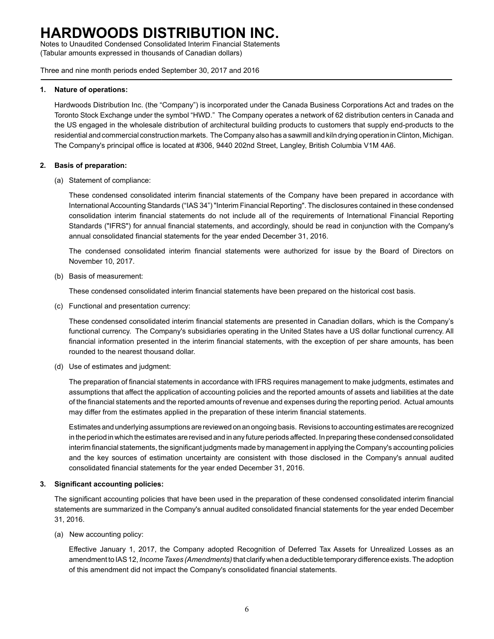Notes to Unaudited Condensed Consolidated Interim Financial Statements (Tabular amounts expressed in thousands of Canadian dollars)

Three and nine month periods ended September 30, 2017 and 2016

### **1. Nature of operations:**

Hardwoods Distribution Inc. (the "Company") is incorporated under the Canada Business Corporations Act and trades on the Toronto Stock Exchange under the symbol "HWD." The Company operates a network of 62 distribution centers in Canada and the US engaged in the wholesale distribution of architectural building products to customers that supply end-products to the residential and commercial construction markets. The Company also has a sawmill and kiln drying operation in Clinton, Michigan. The Company's principal office is located at #306, 9440 202nd Street, Langley, British Columbia V1M 4A6.

### **2. Basis of preparation:**

(a) Statement of compliance:

These condensed consolidated interim financial statements of the Company have been prepared in accordance with International Accounting Standards ("IAS 34") "Interim Financial Reporting". The disclosures contained in these condensed consolidation interim financial statements do not include all of the requirements of International Financial Reporting Standards ("IFRS") for annual financial statements, and accordingly, should be read in conjunction with the Company's annual consolidated financial statements for the year ended December 31, 2016.

The condensed consolidated interim financial statements were authorized for issue by the Board of Directors on November 10, 2017.

(b) Basis of measurement:

These condensed consolidated interim financial statements have been prepared on the historical cost basis.

(c) Functional and presentation currency:

These condensed consolidated interim financial statements are presented in Canadian dollars, which is the Company's functional currency. The Company's subsidiaries operating in the United States have a US dollar functional currency. All financial information presented in the interim financial statements, with the exception of per share amounts, has been rounded to the nearest thousand dollar.

(d) Use of estimates and judgment:

The preparation of financial statements in accordance with IFRS requires management to make judgments, estimates and assumptions that affect the application of accounting policies and the reported amounts of assets and liabilities at the date of the financial statements and the reported amounts of revenue and expenses during the reporting period. Actual amounts may differ from the estimates applied in the preparation of these interim financial statements.

Estimates and underlying assumptions are reviewed on an ongoing basis. Revisions to accounting estimates are recognized in the period in which the estimates are revised and in any future periods affected. In preparing these condensed consolidated interim financial statements, the significant judgments made by management in applying the Company's accounting policies and the key sources of estimation uncertainty are consistent with those disclosed in the Company's annual audited consolidated financial statements for the year ended December 31, 2016.

### **3. Significant accounting policies:**

The significant accounting policies that have been used in the preparation of these condensed consolidated interim financial statements are summarized in the Company's annual audited consolidated financial statements for the year ended December 31, 2016.

(a) New accounting policy:

Effective January 1, 2017, the Company adopted Recognition of Deferred Tax Assets for Unrealized Losses as an amendment to IAS 12, *Income Taxes (Amendments)*that clarify when a deductible temporary difference exists. The adoption of this amendment did not impact the Company's consolidated financial statements.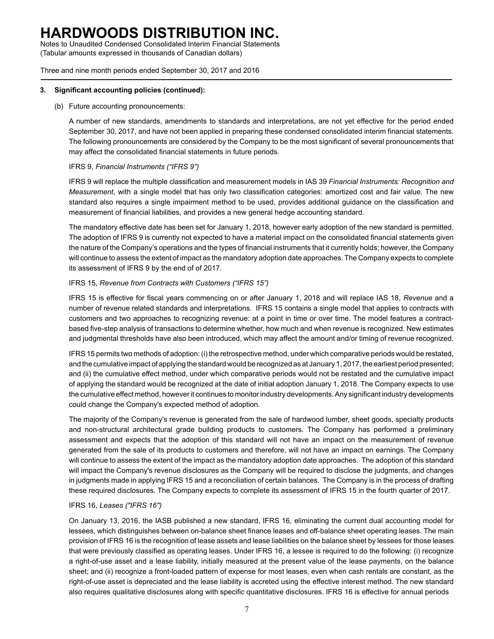Notes to Unaudited Condensed Consolidated Interim Financial Statements (Tabular amounts expressed in thousands of Canadian dollars)

Three and nine month periods ended September 30, 2017 and 2016

#### **3. Significant accounting policies (continued):**

#### (b) Future accounting pronouncements:

A number of new standards, amendments to standards and interpretations, are not yet effective for the period ended September 30, 2017, and have not been applied in preparing these condensed consolidated interim financial statements. The following pronouncements are considered by the Company to be the most significant of several pronouncements that may affect the consolidated financial statements in future periods.

### IFRS 9, *Financial Instruments ("IFRS 9")*

IFRS 9 will replace the multiple classification and measurement models in IAS 39 *Financial Instruments: Recognition and Measurement*, with a single model that has only two classification categories: amortized cost and fair value. The new standard also requires a single impairment method to be used, provides additional guidance on the classification and measurement of financial liabilities, and provides a new general hedge accounting standard.

The mandatory effective date has been set for January 1, 2018, however early adoption of the new standard is permitted. The adoption of IFRS 9 is currently not expected to have a material impact on the consolidated financial statements given the nature of the Company's operations and the types of financial instruments that it currently holds; however, the Company will continue to assess the extent of impact as the mandatory adoption date approaches. The Company expects to complete its assessment of IFRS 9 by the end of of 2017.

### IFRS 15, *Revenue from Contracts with Customers ("IFRS 15")*

IFRS 15 is effective for fiscal years commencing on or after January 1, 2018 and will replace IAS 18, *Revenue* and a number of revenue related standards and interpretations. IFRS 15 contains a single model that applies to contracts with customers and two approaches to recognizing revenue: at a point in time or over time. The model features a contractbased five-step analysis of transactions to determine whether, how much and when revenue is recognized. New estimates and judgmental thresholds have also been introduced, which may affect the amount and/or timing of revenue recognized.

IFRS 15 permits two methods of adoption: (i) the retrospective method, under which comparative periods would be restated, and the cumulative impact of applying the standard would be recognized as at January 1, 2017, the earliest period presented; and (ii) the cumulative effect method, under which comparative periods would not be restated and the cumulative impact of applying the standard would be recognized at the date of initial adoption January 1, 2018. The Company expects to use the cumulative effect method, however it continues to monitor industry developments. Any significant industry developments could change the Company's expected method of adoption.

The majority of the Company's revenue is generated from the sale of hardwood lumber, sheet goods, specialty products and non-structural architectural grade building products to customers. The Company has performed a preliminary assessment and expects that the adoption of this standard will not have an impact on the measurement of revenue generated from the sale of its products to customers and therefore, will not have an impact on earnings. The Company will continue to assess the extent of the impact as the mandatory adoption date approaches. The adoption of this standard will impact the Company's revenue disclosures as the Company will be required to disclose the judgments, and changes in judgments made in applying IFRS 15 and a reconciliation of certain balances. The Company is in the process of drafting these required disclosures. The Company expects to complete its assessment of IFRS 15 in the fourth quarter of 2017.

### IFRS 16, *Leases ("IFRS 16")*

On January 13, 2016, the IASB published a new standard, IFRS 16, eliminating the current dual accounting model for lessees, which distinguishes between on-balance sheet finance leases and off-balance sheet operating leases. The main provision of IFRS 16 is the recognition of lease assets and lease liabilities on the balance sheet by lessees for those leases that were previously classified as operating leases. Under IFRS 16, a lessee is required to do the following: (i) recognize a right-of-use asset and a lease liability, initially measured at the present value of the lease payments, on the balance sheet; and (ii) recognize a front-loaded pattern of expense for most leases, even when cash rentals are constant, as the right-of-use asset is depreciated and the lease liability is accreted using the effective interest method. The new standard also requires qualitative disclosures along with specific quantitative disclosures. IFRS 16 is effective for annual periods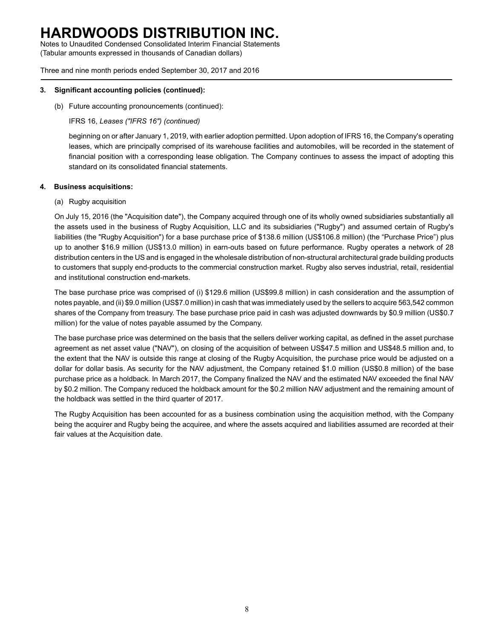Notes to Unaudited Condensed Consolidated Interim Financial Statements (Tabular amounts expressed in thousands of Canadian dollars)

Three and nine month periods ended September 30, 2017 and 2016

#### **3. Significant accounting policies (continued):**

(b) Future accounting pronouncements (continued):

IFRS 16, *Leases ("IFRS 16") (continued)*

beginning on or after January 1, 2019, with earlier adoption permitted. Upon adoption of IFRS 16, the Company's operating leases, which are principally comprised of its warehouse facilities and automobiles, will be recorded in the statement of financial position with a corresponding lease obligation. The Company continues to assess the impact of adopting this standard on its consolidated financial statements.

#### **4. Business acquisitions:**

(a) Rugby acquisition

On July 15, 2016 (the "Acquisition date"), the Company acquired through one of its wholly owned subsidiaries substantially all the assets used in the business of Rugby Acquisition, LLC and its subsidiaries ("Rugby") and assumed certain of Rugby's liabilities (the "Rugby Acquisition") for a base purchase price of \$138.6 million (US\$106.8 million) (the "Purchase Price") plus up to another \$16.9 million (US\$13.0 million) in earn-outs based on future performance. Rugby operates a network of 28 distribution centers in the US and is engaged in the wholesale distribution of non-structural architectural grade building products to customers that supply end-products to the commercial construction market. Rugby also serves industrial, retail, residential and institutional construction end-markets.

The base purchase price was comprised of (i) \$129.6 million (US\$99.8 million) in cash consideration and the assumption of notes payable, and (ii) \$9.0 million (US\$7.0 million) in cash that was immediately used by the sellers to acquire 563,542 common shares of the Company from treasury. The base purchase price paid in cash was adjusted downwards by \$0.9 million (US\$0.7 million) for the value of notes payable assumed by the Company.

The base purchase price was determined on the basis that the sellers deliver working capital, as defined in the asset purchase agreement as net asset value ("NAV"), on closing of the acquisition of between US\$47.5 million and US\$48.5 million and, to the extent that the NAV is outside this range at closing of the Rugby Acquisition, the purchase price would be adjusted on a dollar for dollar basis. As security for the NAV adjustment, the Company retained \$1.0 million (US\$0.8 million) of the base purchase price as a holdback. In March 2017, the Company finalized the NAV and the estimated NAV exceeded the final NAV by \$0.2 million. The Company reduced the holdback amount for the \$0.2 million NAV adjustment and the remaining amount of the holdback was settled in the third quarter of 2017.

The Rugby Acquisition has been accounted for as a business combination using the acquisition method, with the Company being the acquirer and Rugby being the acquiree, and where the assets acquired and liabilities assumed are recorded at their fair values at the Acquisition date.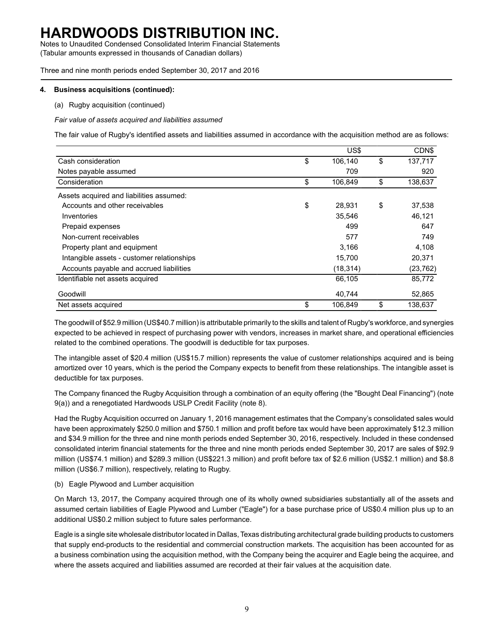Notes to Unaudited Condensed Consolidated Interim Financial Statements (Tabular amounts expressed in thousands of Canadian dollars)

Three and nine month periods ended September 30, 2017 and 2016

#### **4. Business acquisitions (continued):**

(a) Rugby acquisition (continued)

*Fair value of assets acquired and liabilities assumed*

The fair value of Rugby's identified assets and liabilities assumed in accordance with the acquisition method are as follows:

|                                            | US\$          | CDN\$         |
|--------------------------------------------|---------------|---------------|
| Cash consideration                         | \$<br>106,140 | \$<br>137.717 |
| Notes payable assumed                      | 709           | 920           |
| Consideration                              | \$<br>106,849 | \$<br>138,637 |
| Assets acquired and liabilities assumed:   |               |               |
| Accounts and other receivables             | \$<br>28,931  | \$<br>37,538  |
| Inventories                                | 35,546        | 46,121        |
| Prepaid expenses                           | 499           | 647           |
| Non-current receivables                    | 577           | 749           |
| Property plant and equipment               | 3,166         | 4,108         |
| Intangible assets - customer relationships | 15.700        | 20,371        |
| Accounts payable and accrued liabilities   | (18, 314)     | (23, 762)     |
| Identifiable net assets acquired           | 66,105        | 85,772        |
| Goodwill                                   | 40,744        | 52,865        |
| Net assets acquired                        | \$<br>106,849 | \$<br>138,637 |

The goodwill of \$52.9 million (US\$40.7 million) is attributable primarily to the skills and talent of Rugby's workforce, and synergies expected to be achieved in respect of purchasing power with vendors, increases in market share, and operational efficiencies related to the combined operations. The goodwill is deductible for tax purposes.

The intangible asset of \$20.4 million (US\$15.7 million) represents the value of customer relationships acquired and is being amortized over 10 years, which is the period the Company expects to benefit from these relationships. The intangible asset is deductible for tax purposes.

The Company financed the Rugby Acquisition through a combination of an equity offering (the "Bought Deal Financing") (note 9(a)) and a renegotiated Hardwoods USLP Credit Facility (note 8).

Had the Rugby Acquisition occurred on January 1, 2016 management estimates that the Company's consolidated sales would have been approximately \$250.0 million and \$750.1 million and profit before tax would have been approximately \$12.3 million and \$34.9 million for the three and nine month periods ended September 30, 2016, respectively. Included in these condensed consolidated interim financial statements for the three and nine month periods ended September 30, 2017 are sales of \$92.9 million (US\$74.1 million) and \$289.3 million (US\$221.3 million) and profit before tax of \$2.6 million (US\$2.1 million) and \$8.8 million (US\$6.7 million), respectively, relating to Rugby.

(b) Eagle Plywood and Lumber acquisition

On March 13, 2017, the Company acquired through one of its wholly owned subsidiaries substantially all of the assets and assumed certain liabilities of Eagle Plywood and Lumber ("Eagle") for a base purchase price of US\$0.4 million plus up to an additional US\$0.2 million subject to future sales performance.

Eagle is a single site wholesale distributor located in Dallas, Texas distributing architectural grade building products to customers that supply end-products to the residential and commercial construction markets. The acquisition has been accounted for as a business combination using the acquisition method, with the Company being the acquirer and Eagle being the acquiree, and where the assets acquired and liabilities assumed are recorded at their fair values at the acquisition date.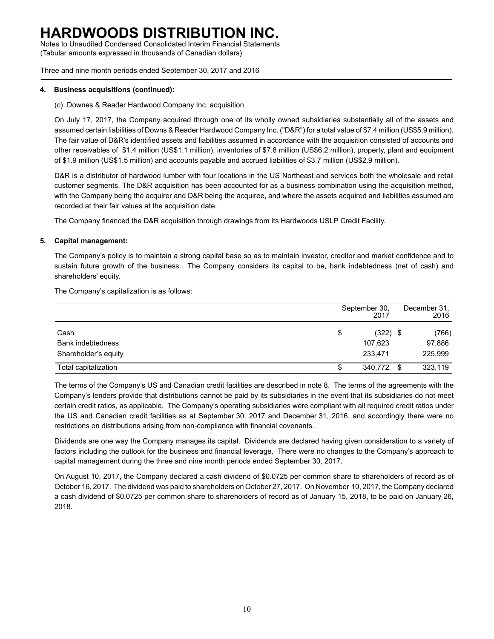Notes to Unaudited Condensed Consolidated Interim Financial Statements (Tabular amounts expressed in thousands of Canadian dollars)

Three and nine month periods ended September 30, 2017 and 2016

#### **4. Business acquisitions (continued):**

(c) Downes & Reader Hardwood Company Inc. acquisition

On July 17, 2017, the Company acquired through one of its wholly owned subsidiaries substantially all of the assets and assumed certain liabilities of Downs & Reader Hardwood Company Inc. ("D&R") for a total value of \$7.4 million (US\$5.9 million). The fair value of D&R's identified assets and liabilities assumed in accordance with the acquisition consisted of accounts and other receivables of \$1.4 million (US\$1.1 million), inventories of \$7.8 million (US\$6.2 million), property, plant and equipment of \$1.9 million (US\$1.5 million) and accounts payable and accrued liabilities of \$3.7 million (US\$2.9 million).

D&R is a distributor of hardwood lumber with four locations in the US Northeast and services both the wholesale and retail customer segments. The D&R acquisition has been accounted for as a business combination using the acquisition method, with the Company being the acquirer and D&R being the acquiree, and where the assets acquired and liabilities assumed are recorded at their fair values at the acquisition date.

The Company financed the D&R acquisition through drawings from its Hardwoods USLP Credit Facility.

### **5. Capital management:**

The Company's policy is to maintain a strong capital base so as to maintain investor, creditor and market confidence and to sustain future growth of the business. The Company considers its capital to be, bank indebtedness (net of cash) and shareholders' equity.

The Company's capitalization is as follows:

|                          |    | September 30,<br>2017 |      | December 31,<br>2016 |
|--------------------------|----|-----------------------|------|----------------------|
| Cash                     | \$ | $(322)$ \$            |      | (766)                |
| <b>Bank indebtedness</b> |    | 107,623               |      | 97,886               |
| Shareholder's equity     |    | 233.471               |      | 225,999              |
| Total capitalization     | Œ  | 340.772               | - \$ | 323,119              |

The terms of the Company's US and Canadian credit facilities are described in note 8. The terms of the agreements with the Company's lenders provide that distributions cannot be paid by its subsidiaries in the event that its subsidiaries do not meet certain credit ratios, as applicable. The Company's operating subsidiaries were compliant with all required credit ratios under the US and Canadian credit facilities as at September 30, 2017 and December 31, 2016, and accordingly there were no restrictions on distributions arising from non-compliance with financial covenants.

Dividends are one way the Company manages its capital. Dividends are declared having given consideration to a variety of factors including the outlook for the business and financial leverage. There were no changes to the Company's approach to capital management during the three and nine month periods ended September 30, 2017.

On August 10, 2017, the Company declared a cash dividend of \$0.0725 per common share to shareholders of record as of October 16, 2017. The dividend was paid to shareholders on October 27, 2017. On November 10, 2017, the Company declared a cash dividend of \$0.0725 per common share to shareholders of record as of January 15, 2018, to be paid on January 26, 2018.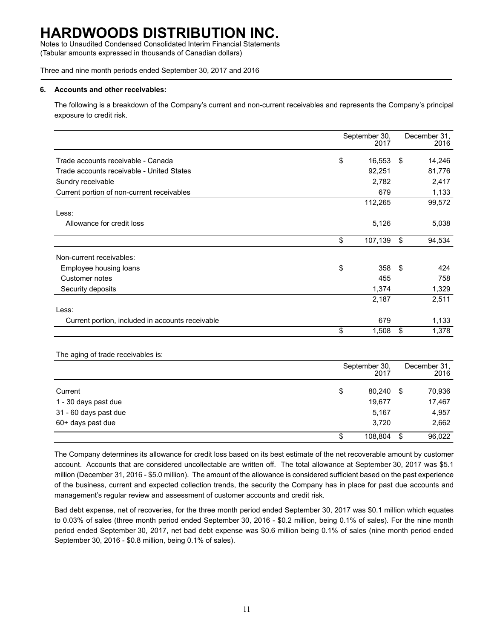Notes to Unaudited Condensed Consolidated Interim Financial Statements (Tabular amounts expressed in thousands of Canadian dollars)

Three and nine month periods ended September 30, 2017 and 2016

#### **6. Accounts and other receivables:**

The following is a breakdown of the Company's current and non-current receivables and represents the Company's principal exposure to credit risk.

|                                                  | September 30,<br>2017 | December 31,<br>2016 |
|--------------------------------------------------|-----------------------|----------------------|
| Trade accounts receivable - Canada               | \$<br>16,553          | \$<br>14,246         |
| Trade accounts receivable - United States        | 92,251                | 81,776               |
| Sundry receivable                                | 2,782                 | 2,417                |
| Current portion of non-current receivables       | 679                   | 1,133                |
|                                                  | 112,265               | 99,572               |
| Less:                                            |                       |                      |
| Allowance for credit loss                        | 5,126                 | 5,038                |
|                                                  | \$<br>107,139         | \$<br>94,534         |
| Non-current receivables:                         |                       |                      |
| Employee housing loans                           | \$<br>358             | \$<br>424            |
| Customer notes                                   | 455                   | 758                  |
| Security deposits                                | 1,374                 | 1,329                |
|                                                  | 2,187                 | 2,511                |
| Less:                                            |                       |                      |
| Current portion, included in accounts receivable | 679                   | 1,133                |
|                                                  | \$<br>1,508           | \$<br>1,378          |

The aging of trade receivables is:

|                       |    | September 30,<br>2017 | December 31,<br>2016 |        |  |
|-----------------------|----|-----------------------|----------------------|--------|--|
| Current               | \$ | 80,240                | - \$                 | 70,936 |  |
| 1 - 30 days past due  |    | 19.677                |                      | 17,467 |  |
| 31 - 60 days past due |    | 5,167                 |                      | 4,957  |  |
| 60+ days past due     |    | 3,720                 |                      | 2,662  |  |
|                       | S  | 108.804               | S                    | 96,022 |  |

The Company determines its allowance for credit loss based on its best estimate of the net recoverable amount by customer account. Accounts that are considered uncollectable are written off. The total allowance at September 30, 2017 was \$5.1 million (December 31, 2016 - \$5.0 million). The amount of the allowance is considered sufficient based on the past experience of the business, current and expected collection trends, the security the Company has in place for past due accounts and management's regular review and assessment of customer accounts and credit risk.

Bad debt expense, net of recoveries, for the three month period ended September 30, 2017 was \$0.1 million which equates to 0.03% of sales (three month period ended September 30, 2016 - \$0.2 million, being 0.1% of sales). For the nine month period ended September 30, 2017, net bad debt expense was \$0.6 million being 0.1% of sales (nine month period ended September 30, 2016 - \$0.8 million, being 0.1% of sales).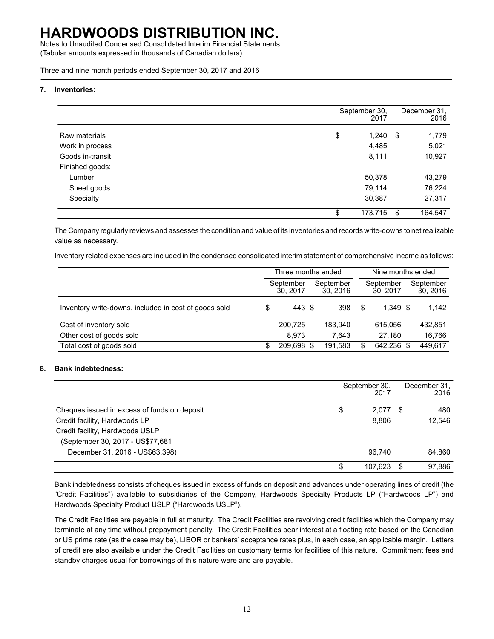Notes to Unaudited Condensed Consolidated Interim Financial Statements (Tabular amounts expressed in thousands of Canadian dollars)

Three and nine month periods ended September 30, 2017 and 2016

#### **7. Inventories:**

|                  | September 30,<br>2017 |     | December 31.<br>2016 |
|------------------|-----------------------|-----|----------------------|
| Raw materials    | \$<br>1,240           | -\$ | 1,779                |
| Work in process  | 4,485                 |     | 5,021                |
| Goods in-transit | 8,111                 |     | 10,927               |
| Finished goods:  |                       |     |                      |
| Lumber           | 50,378                |     | 43,279               |
| Sheet goods      | 79,114                |     | 76,224               |
| Specialty        | 30,387                |     | 27,317               |
|                  | 173,715<br>\$         | -\$ | 164,547              |

The Company regularly reviews and assesses the condition and value of its inventories and records write-downs to net realizable value as necessary.

Inventory related expenses are included in the condensed consolidated interim statement of comprehensive income as follows:

|                                                       | Three months ended |                      |      |                      | Nine months ended |                      |  |                       |  |
|-------------------------------------------------------|--------------------|----------------------|------|----------------------|-------------------|----------------------|--|-----------------------|--|
|                                                       |                    | September<br>30.2017 |      | September<br>30.2016 |                   | September<br>30.2017 |  | September<br>30, 2016 |  |
| Inventory write-downs, included in cost of goods sold | \$                 | 443 \$               |      | 398                  | \$                | $1.349$ \$           |  | 1,142                 |  |
| Cost of inventory sold                                |                    | 200,725              |      | 183,940              |                   | 615.056              |  | 432,851               |  |
| Other cost of goods sold                              |                    | 8.973                |      | 7.643                |                   | 27.180               |  | 16,766                |  |
| Total cost of goods sold                              | S.                 | 209.698              | - \$ | 191,583              | \$                | 642.236 \$           |  | 449.617               |  |

### **8. Bank indebtedness:**

|                                              |    | September 30,<br>2017 |   | December 31,<br>2016 |
|----------------------------------------------|----|-----------------------|---|----------------------|
| Cheques issued in excess of funds on deposit | \$ | 2,077                 | S | 480                  |
| Credit facility, Hardwoods LP                |    | 8.806                 |   | 12,546               |
| Credit facility, Hardwoods USLP              |    |                       |   |                      |
| (September 30, 2017 - US\$77,681             |    |                       |   |                      |
| December 31, 2016 - US\$63,398)              |    | 96.740                |   | 84,860               |
|                                              | S  | 107.623               |   | 97.886               |

Bank indebtedness consists of cheques issued in excess of funds on deposit and advances under operating lines of credit (the "Credit Facilities") available to subsidiaries of the Company, Hardwoods Specialty Products LP ("Hardwoods LP") and Hardwoods Specialty Product USLP ("Hardwoods USLP").

The Credit Facilities are payable in full at maturity. The Credit Facilities are revolving credit facilities which the Company may terminate at any time without prepayment penalty. The Credit Facilities bear interest at a floating rate based on the Canadian or US prime rate (as the case may be), LIBOR or bankers' acceptance rates plus, in each case, an applicable margin. Letters of credit are also available under the Credit Facilities on customary terms for facilities of this nature. Commitment fees and standby charges usual for borrowings of this nature were and are payable.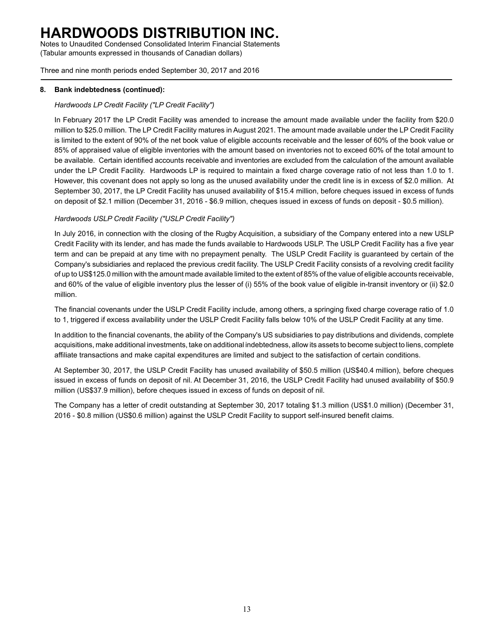Notes to Unaudited Condensed Consolidated Interim Financial Statements (Tabular amounts expressed in thousands of Canadian dollars)

Three and nine month periods ended September 30, 2017 and 2016

### **8. Bank indebtedness (continued):**

### *Hardwoods LP Credit Facility ("LP Credit Facility")*

In February 2017 the LP Credit Facility was amended to increase the amount made available under the facility from \$20.0 million to \$25.0 million. The LP Credit Facility matures in August 2021. The amount made available under the LP Credit Facility is limited to the extent of 90% of the net book value of eligible accounts receivable and the lesser of 60% of the book value or 85% of appraised value of eligible inventories with the amount based on inventories not to exceed 60% of the total amount to be available. Certain identified accounts receivable and inventories are excluded from the calculation of the amount available under the LP Credit Facility. Hardwoods LP is required to maintain a fixed charge coverage ratio of not less than 1.0 to 1. However, this covenant does not apply so long as the unused availability under the credit line is in excess of \$2.0 million. At September 30, 2017, the LP Credit Facility has unused availability of \$15.4 million, before cheques issued in excess of funds on deposit of \$2.1 million (December 31, 2016 - \$6.9 million, cheques issued in excess of funds on deposit - \$0.5 million).

### *Hardwoods USLP Credit Facility ("USLP Credit Facility")*

In July 2016, in connection with the closing of the Rugby Acquisition, a subsidiary of the Company entered into a new USLP Credit Facility with its lender, and has made the funds available to Hardwoods USLP. The USLP Credit Facility has a five year term and can be prepaid at any time with no prepayment penalty. The USLP Credit Facility is guaranteed by certain of the Company's subsidiaries and replaced the previous credit facility. The USLP Credit Facility consists of a revolving credit facility of up to US\$125.0 million with the amount made available limited to the extent of 85% of the value of eligible accounts receivable, and 60% of the value of eligible inventory plus the lesser of (i) 55% of the book value of eligible in-transit inventory or (ii) \$2.0 million.

The financial covenants under the USLP Credit Facility include, among others, a springing fixed charge coverage ratio of 1.0 to 1, triggered if excess availability under the USLP Credit Facility falls below 10% of the USLP Credit Facility at any time.

In addition to the financial covenants, the ability of the Company's US subsidiaries to pay distributions and dividends, complete acquisitions, make additional investments, take on additional indebtedness, allow its assets to become subject to liens, complete affiliate transactions and make capital expenditures are limited and subject to the satisfaction of certain conditions.

At September 30, 2017, the USLP Credit Facility has unused availability of \$50.5 million (US\$40.4 million), before cheques issued in excess of funds on deposit of nil. At December 31, 2016, the USLP Credit Facility had unused availability of \$50.9 million (US\$37.9 million), before cheques issued in excess of funds on deposit of nil.

The Company has a letter of credit outstanding at September 30, 2017 totaling \$1.3 million (US\$1.0 million) (December 31, 2016 - \$0.8 million (US\$0.6 million) against the USLP Credit Facility to support self-insured benefit claims.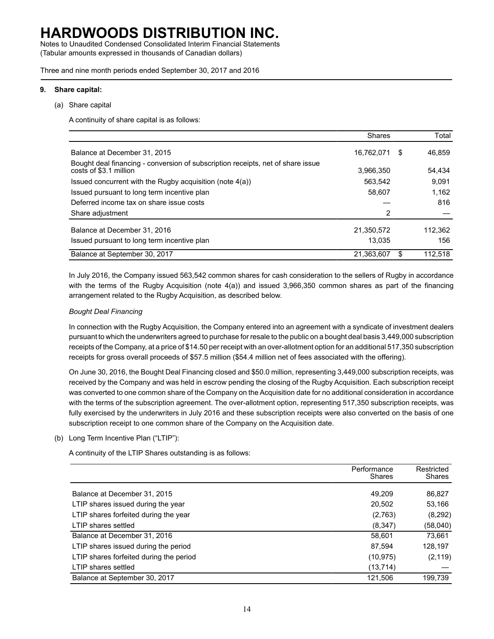Notes to Unaudited Condensed Consolidated Interim Financial Statements (Tabular amounts expressed in thousands of Canadian dollars)

Three and nine month periods ended September 30, 2017 and 2016

#### **9. Share capital:**

(a) Share capital

A continuity of share capital is as follows:

|                                                                                                           | <b>Shares</b> |    | Total   |
|-----------------------------------------------------------------------------------------------------------|---------------|----|---------|
| Balance at December 31, 2015                                                                              | 16,762,071    | S  | 46.859  |
| Bought deal financing - conversion of subscription receipts, net of share issue<br>costs of \$3.1 million | 3,966,350     |    | 54,434  |
| Issued concurrent with the Rugby acquisition (note 4(a))                                                  | 563.542       |    | 9.091   |
| Issued pursuant to long term incentive plan                                                               | 58,607        |    | 1,162   |
| Deferred income tax on share issue costs                                                                  |               |    | 816     |
| Share adjustment                                                                                          | 2             |    |         |
| Balance at December 31, 2016                                                                              | 21,350,572    |    | 112,362 |
| Issued pursuant to long term incentive plan                                                               | 13.035        |    | 156     |
| Balance at September 30, 2017                                                                             | 21,363,607    | S. | 112.518 |

In July 2016, the Company issued 563,542 common shares for cash consideration to the sellers of Rugby in accordance with the terms of the Rugby Acquisition (note 4(a)) and issued 3,966,350 common shares as part of the financing arrangement related to the Rugby Acquisition, as described below.

### *Bought Deal Financing*

In connection with the Rugby Acquisition, the Company entered into an agreement with a syndicate of investment dealers pursuant to which the underwriters agreed to purchase for resale to the public on a bought deal basis 3,449,000 subscription receipts of the Company, at a price of \$14.50 per receipt with an over-allotment option for an additional 517,350 subscription receipts for gross overall proceeds of \$57.5 million (\$54.4 million net of fees associated with the offering).

On June 30, 2016, the Bought Deal Financing closed and \$50.0 million, representing 3,449,000 subscription receipts, was received by the Company and was held in escrow pending the closing of the Rugby Acquisition. Each subscription receipt was converted to one common share of the Company on the Acquisition date for no additional consideration in accordance with the terms of the subscription agreement. The over-allotment option, representing 517,350 subscription receipts, was fully exercised by the underwriters in July 2016 and these subscription receipts were also converted on the basis of one subscription receipt to one common share of the Company on the Acquisition date.

### (b) Long Term Incentive Plan ("LTIP"):

A continuity of the LTIP Shares outstanding is as follows:

|                                         | Performance<br><b>Shares</b> | Restricted<br><b>Shares</b> |
|-----------------------------------------|------------------------------|-----------------------------|
| Balance at December 31, 2015            | 49.209                       | 86,827                      |
| LTIP shares issued during the year      | 20,502                       | 53,166                      |
| LTIP shares forfeited during the year   | (2,763)                      | (8, 292)                    |
| LTIP shares settled                     | (8,347)                      | (58,040)                    |
| Balance at December 31, 2016            | 58,601                       | 73,661                      |
| LTIP shares issued during the period    | 87,594                       | 128,197                     |
| LTIP shares forfeited during the period | (10, 975)                    | (2, 119)                    |
| LTIP shares settled                     | (13, 714)                    |                             |
| Balance at September 30, 2017           | 121,506                      | 199,739                     |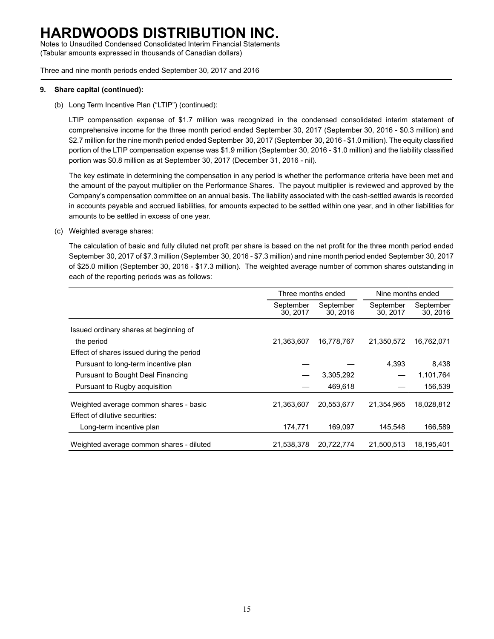Notes to Unaudited Condensed Consolidated Interim Financial Statements (Tabular amounts expressed in thousands of Canadian dollars)

Three and nine month periods ended September 30, 2017 and 2016

### **9. Share capital (continued):**

(b) Long Term Incentive Plan ("LTIP") (continued):

LTIP compensation expense of \$1.7 million was recognized in the condensed consolidated interim statement of comprehensive income for the three month period ended September 30, 2017 (September 30, 2016 - \$0.3 million) and \$2.7 million for the nine month period ended September 30, 2017 (September 30, 2016 - \$1.0 million). The equity classified portion of the LTIP compensation expense was \$1.9 million (September 30, 2016 - \$1.0 million) and the liability classified portion was \$0.8 million as at September 30, 2017 (December 31, 2016 - nil).

The key estimate in determining the compensation in any period is whether the performance criteria have been met and the amount of the payout multiplier on the Performance Shares. The payout multiplier is reviewed and approved by the Company's compensation committee on an annual basis. The liability associated with the cash-settled awards is recorded in accounts payable and accrued liabilities, for amounts expected to be settled within one year, and in other liabilities for amounts to be settled in excess of one year.

(c) Weighted average shares:

The calculation of basic and fully diluted net profit per share is based on the net profit for the three month period ended September 30, 2017 of \$7.3 million (September 30, 2016 - \$7.3 million) and nine month period ended September 30, 2017 of \$25.0 million (September 30, 2016 - \$17.3 million). The weighted average number of common shares outstanding in each of the reporting periods was as follows:

|                                           | Three months ended   |                      | Nine months ended    |                       |  |
|-------------------------------------------|----------------------|----------------------|----------------------|-----------------------|--|
|                                           | September<br>30.2017 | September<br>30.2016 | September<br>30.2017 | September<br>30, 2016 |  |
| Issued ordinary shares at beginning of    |                      |                      |                      |                       |  |
| the period                                | 21,363,607           | 16,778,767           | 21,350,572           | 16,762,071            |  |
| Effect of shares issued during the period |                      |                      |                      |                       |  |
| Pursuant to long-term incentive plan      |                      |                      | 4.393                | 8,438                 |  |
| Pursuant to Bought Deal Financing         |                      | 3,305,292            |                      | 1,101,764             |  |
| Pursuant to Rugby acquisition             |                      | 469,618              |                      | 156,539               |  |
| Weighted average common shares - basic    | 21,363,607           | 20,553,677           | 21,354,965           | 18,028,812            |  |
| Effect of dilutive securities:            |                      |                      |                      |                       |  |
| Long-term incentive plan                  | 174,771              | 169,097              | 145,548              | 166,589               |  |
| Weighted average common shares - diluted  | 21,538,378           | 20,722,774           | 21.500.513           | 18.195.401            |  |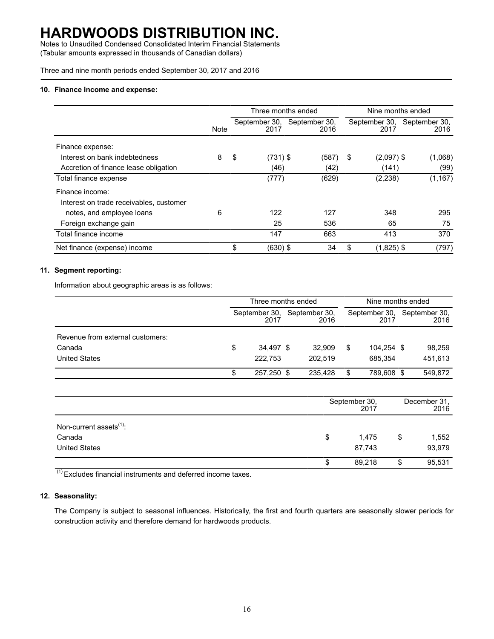Notes to Unaudited Condensed Consolidated Interim Financial Statements (Tabular amounts expressed in thousands of Canadian dollars)

Three and nine month periods ended September 30, 2017 and 2016

#### **10. Finance income and expense:**

|                                         |      | Three months ended    |                       | Nine months ended  |                                     |  |  |
|-----------------------------------------|------|-----------------------|-----------------------|--------------------|-------------------------------------|--|--|
|                                         | Note | September 30,<br>2017 | September 30,<br>2016 | 2017               | September 30, September 30,<br>2016 |  |  |
| Finance expense:                        |      |                       |                       |                    |                                     |  |  |
| Interest on bank indebtedness           | 8    | \$<br>$(731)$ \$      | (587)                 | $(2,097)$ \$<br>\$ | (1,068)                             |  |  |
| Accretion of finance lease obligation   |      | (46)                  | (42)                  | (141)              | (99)                                |  |  |
| Total finance expense                   |      | (777)                 | (629)                 | (2, 238)           | (1, 167)                            |  |  |
| Finance income:                         |      |                       |                       |                    |                                     |  |  |
| Interest on trade receivables, customer |      |                       |                       |                    |                                     |  |  |
| notes, and employee loans               | 6    | 122                   | 127                   | 348                | 295                                 |  |  |
| Foreign exchange gain                   |      | 25                    | 536                   | 65                 | 75                                  |  |  |
| Total finance income                    |      | 147                   | 663                   | 413                | 370                                 |  |  |
| Net finance (expense) income            |      | \$<br>$(630)$ \$      | 34                    | \$<br>$(1,825)$ \$ | (797)                               |  |  |

### **11. Segment reporting:**

Information about geographic areas is as follows:

|                                                                    |    | Three months ended    |  |                       | Nine months ended |                       |  |                       |
|--------------------------------------------------------------------|----|-----------------------|--|-----------------------|-------------------|-----------------------|--|-----------------------|
|                                                                    |    | September 30,<br>2017 |  | September 30,<br>2016 |                   | September 30,<br>2017 |  | September 30,<br>2016 |
| Revenue from external customers:<br>Canada<br><b>United States</b> | \$ | 34,497 \$<br>222,753  |  | 32.909<br>202.519     | S                 | 104,254 \$<br>685.354 |  | 98,259<br>451,613     |
|                                                                    | S  | 257.250 \$            |  | 235.428               | \$                | 789,608 \$            |  | 549,872               |

|                                               | September 30,<br>2017 |                  |    | December 31,<br>2016 |  |  |
|-----------------------------------------------|-----------------------|------------------|----|----------------------|--|--|
| Non-current assets <sup>(1)</sup> :<br>Canada | \$                    | 1.475            | \$ | 1,552                |  |  |
| <b>United States</b>                          | \$                    | 87,743<br>89,218 | ۰D | 93,979<br>95,531     |  |  |

 $(1)$  Excludes financial instruments and deferred income taxes.

### **12. Seasonality:**

The Company is subject to seasonal influences. Historically, the first and fourth quarters are seasonally slower periods for construction activity and therefore demand for hardwoods products.